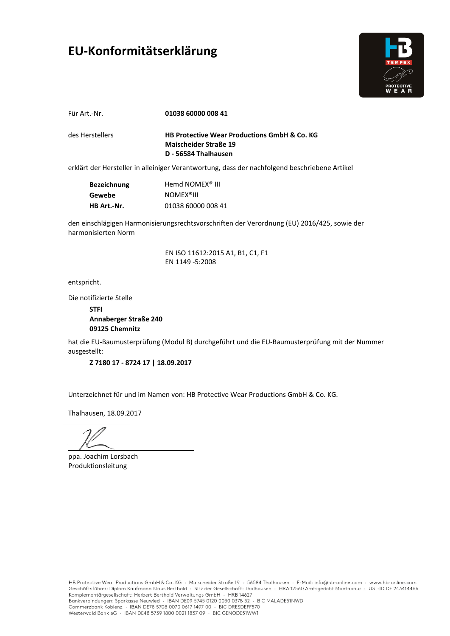#### **EU-Konformitätserklärung**



Für Art.-Nr.

**01038 60000 008 41** 

des Herstellers

**HB Protective Wear Productions GmbH & Co. KG Maischeider Straße 19 D - 56584 Thalhausen**

erklärt der Hersteller in alleiniger Verantwortung, dass der nachfolgend beschriebene Artikel

| Bezeichnung        | Hemd NOMEX <sup>®</sup> III |
|--------------------|-----------------------------|
| Gewebe             | <b>NOMEX<sup>®</sup>III</b> |
| <b>HB Art.-Nr.</b> | 01038 60000 008 41          |

den einschlägigen Harmonisierungsrechtsvorschriften der Verordnung (EU) 2016/425, sowie der harmonisierten Norm

> EN ISO 11612:2015 A1, B1, C1, F1 EN 1149 -5:2008

entspricht.

Die notifizierte Stelle

**STFI Annaberger Straße 240 09125 Chemnitz**

hat die EU-Baumusterprüfung (Modul B) durchgeführt und die EU-Baumusterprüfung mit der Nummer ausgestellt:

**Z 7180 17 - 8724 17 | 18.09.2017**

Unterzeichnet für und im Namen von: HB Protective Wear Productions GmbH & Co. KG.

ppa. Joachim Lorsbach Produktionsleitung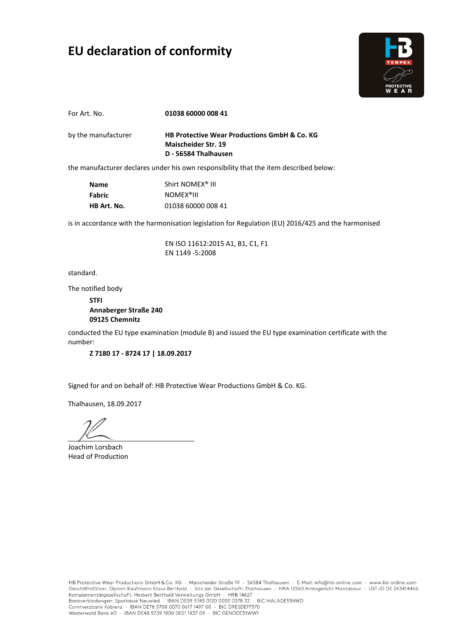## **EU declaration of conformity**



**01038 60000 008 41**  For Art. No.

**HB Protective Wear Productions GmbH & Co. KG Maischeider Str. 19 D - 56584 Thalhausen** by the manufacturer

the manufacturer declares under his own responsibility that the item described below:

| <b>Name</b> | Shirt NOMEX <sup>®</sup> III |
|-------------|------------------------------|
| Fabric      | <b>NOMEX<sup>®</sup>III</b>  |
| HB Art. No. | 01038 60000 008 41           |

is in accordance with the harmonisation legislation for Regulation (EU) 2016/425 and the harmonised

EN ISO 11612:2015 A1, B1, C1, F1 EN 1149 -5:2008

standard.

The notified body

**STFI Annaberger Straße 240 09125 Chemnitz**

conducted the EU type examination (module B) and issued the EU type examination certificate with the number:

**Z 7180 17 - 8724 17 | 18.09.2017**

Signed for and on behalf of: HB Protective Wear Productions GmbH & Co. KG.

Joachim Lorsbach Head of Production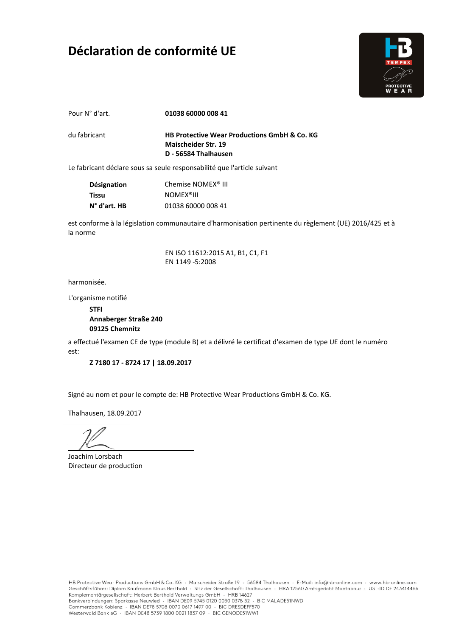### **Déclaration de conformité UE**



Pour N° d'art.

**01038 60000 008 41** 

du fabricant

**HB Protective Wear Productions GmbH & Co. KG Maischeider Str. 19 D - 56584 Thalhausen**

Le fabricant déclare sous sa seule responsabilité que l'article suivant

| <b>Désignation</b>    | Chemise NOMEX <sup>®</sup> III |
|-----------------------|--------------------------------|
| Tissu                 | <b>NOMEX<sup>®</sup>III</b>    |
| $N^{\circ}$ d'art. HB | 01038 60000 008 41             |

est conforme à la législation communautaire d'harmonisation pertinente du règlement (UE) 2016/425 et à la norme

> EN ISO 11612:2015 A1, B1, C1, F1 EN 1149 -5:2008

harmonisée.

L'organisme notifié

**STFI Annaberger Straße 240 09125 Chemnitz**

a effectué l'examen CE de type (module B) et a délivré le certificat d'examen de type UE dont le numéro est:

**Z 7180 17 - 8724 17 | 18.09.2017**

Signé au nom et pour le compte de: HB Protective Wear Productions GmbH & Co. KG.

Joachim Lorsbach Directeur de production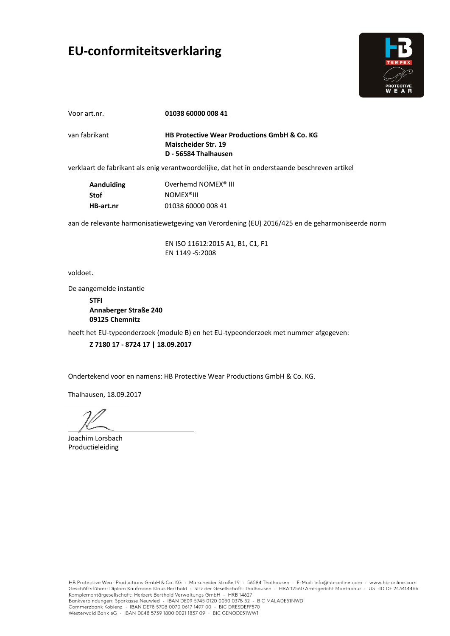# **EU-conformiteitsverklaring**



Voor art.nr.

**01038 60000 008 41** 

van fabrikant

**HB Protective Wear Productions GmbH & Co. KG Maischeider Str. 19 D - 56584 Thalhausen**

verklaart de fabrikant als enig verantwoordelijke, dat het in onderstaande beschreven artikel

| Aanduiding | Overhemd NOMEX <sup>®</sup> III |
|------------|---------------------------------|
| Stof       | <b>NOMEX<sup>®</sup>III</b>     |
| HB-art.nr  | 01038 60000 008 41              |

aan de relevante harmonisatiewetgeving van Verordening (EU) 2016/425 en de geharmoniseerde norm

EN ISO 11612:2015 A1, B1, C1, F1 EN 1149 -5:2008

voldoet.

De aangemelde instantie

**STFI Annaberger Straße 240 09125 Chemnitz**

heeft het EU-typeonderzoek (module B) en het EU-typeonderzoek met nummer afgegeven:

**Z 7180 17 - 8724 17 | 18.09.2017**

Ondertekend voor en namens: HB Protective Wear Productions GmbH & Co. KG.

Thalhausen, 18.09.2017

Joachim Lorsbach Productieleiding

HB Protective Wear Productions GmbH & Co. KG · Maischeider Straße 19 · 56584 Thalhausen · E-Mail: info@hb-online.com · www.hb-online.com Geschäftsführer: Diplom Kaufmann Klaus Berthold · Sitz der Gesellschaft: Thalhausen · HRA 12560 Amtsgericht Montabaur · UST-ID DE 243414466 Schmitter Herbert Berthold Verwaltungs GmbH + HRB 14627<br>Bankverbindungen: Sparkasse Neuwied + IBAN DE09 5745 0120 0030 0378 32 + BIC MALADE51NWD Commerzbank Koblenz · IBAN DE78 5708 0070 0617 1497 00 · BIC DRESDEFF570 Westerwald Bank eG · IBAN DE48 5739 1800 0021 1837 09 · BIC GENODE51WW1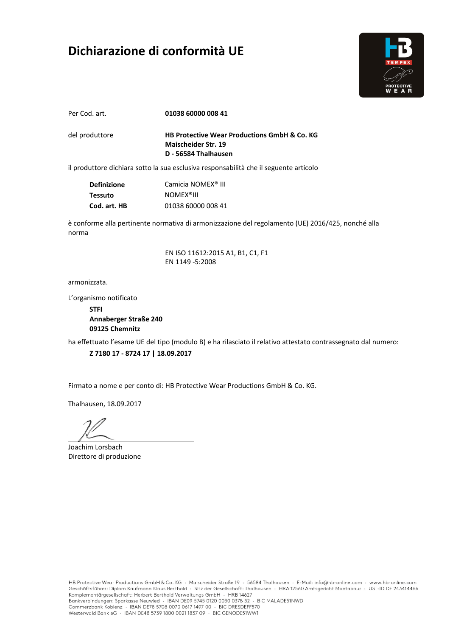### **Dichiarazione di conformità UE**



Per Cod. art.

**01038 60000 008 41** 

del produttore

**HB Protective Wear Productions GmbH & Co. KG Maischeider Str. 19 D - 56584 Thalhausen**

il produttore dichiara sotto la sua esclusiva responsabilità che il seguente articolo

| <b>Definizione</b> | Camicia NOMEX <sup>®</sup> III |
|--------------------|--------------------------------|
| <b>Tessuto</b>     | <b>NOMEX<sup>®</sup>III</b>    |
| Cod. art. HB       | 01038 60000 008 41             |

è conforme alla pertinente normativa di armonizzazione del regolamento (UE) 2016/425, nonché alla norma

> EN ISO 11612:2015 A1, B1, C1, F1 EN 1149 -5:2008

armonizzata.

L'organismo notificato

**STFI Annaberger Straße 240 09125 Chemnitz**

ha effettuato l'esame UE del tipo (modulo B) e ha rilasciato il relativo attestato contrassegnato dal numero:

**Z 7180 17 - 8724 17 | 18.09.2017**

Firmato a nome e per conto di: HB Protective Wear Productions GmbH & Co. KG.

Joachim Lorsbach Direttore di produzione